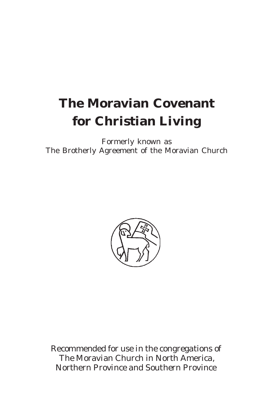# **The Moravian Covenant for Christian Living**

Formerly known as The Brotherly Agreement of the Moravian Church



Recommended for use in the congregations of The Moravian Church in North America, Northern Province and Southern Province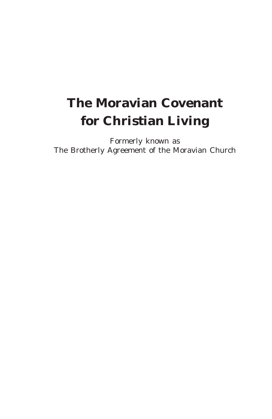# **The Moravian Covenant for Christian Living**

Formerly known as The Brotherly Agreement of the Moravian Church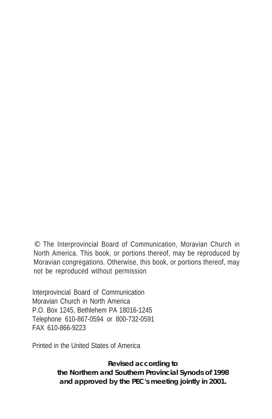© The Interprovincial Board of Communication, Moravian Church in North America. This book, or portions thereof, may be reproduced by Moravian congregations. Otherwise, this book, or portions thereof, may not be reproduced without permission

Interprovincial Board of Communication Moravian Church in North America P.O. Box 1245, Bethlehem PA 18016-1245 Telephone 610-867-0594 or 800-732-0591 FAX 610-866-9223

Printed in the United States of America

*Revised according to the Northern and Southern Provincial Synods of 1998 and approved by the PEC's meeting jointly in 2001.*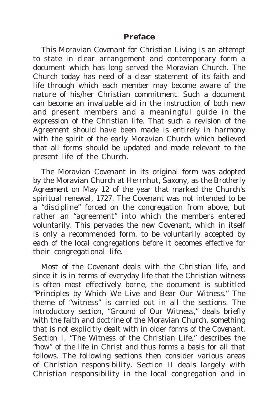#### **Preface**

This *Moravian Covenant for Christian Living* is an attempt to state in clear arrangement and contemporary form a document which has long served the Moravian Church. The Church today has need of a clear statement of its faith and life through which each member may become aware of the nature of his/her Christian commitment. Such a document can become an invaluable aid in the instruction of both new and present members and a meaningful guide in the expression of the Christian life. That such a revision of the *Agreement* should have been made is entirely in harmony with the spirit of the early Moravian Church which believed that all forms should be updated and made relevant to the present life of the Church.

The *Moravian Covenant* in its original form was adopted by the Moravian Church at Herrnhut, Saxony, as the *Brotherly Agreement* on May 12 of the year that marked the Church's spiritual renewal, 1727. The *Covenant* was not intended to be a "discipline" forced on the congregation from above, but rather an "agreement" into which the members entered voluntarily. This pervades the new *Covenant*, which in itself is only a recommended form, to be voluntarily accepted by each of the local congregations before it becomes effective for their congregational life.

Most of the *Covenant* deals with the Christian life, and since it is in terms of everyday life that the Christian witness is often most effectively borne, the document is subtitled "Principles by Which We Live and Bear Our Witness." The theme of "witness" is carried out in all the sections. The introductory section, "Ground of Our Witness," deals briefly with the faith and doctrine of the Moravian Church, something that is not explicitly dealt with in older forms of the *Covenant*. Section I, "The Witness of the Christian Life," describes the "how" of the life in Christ and thus forms a basis for all that follows. The following sections then consider various areas of Christian responsibility. Section II deals largely with Christian responsibility in the local congregation and in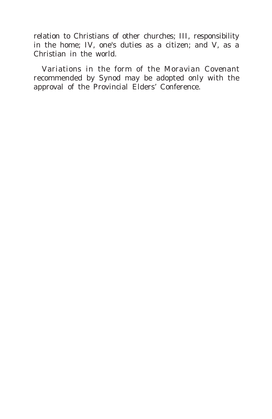relation to Christians of other churches; III, responsibility in the home; IV, one's duties as a citizen; and V, as a Christian in the world.

Variations in the form of the *Moravian Covenant* recommended by Synod may be adopted only with the approval of the Provincial Elders' Conference.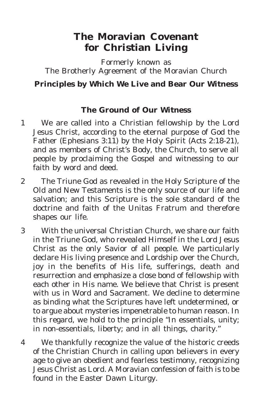# **The Moravian Covenant for Christian Living**

Formerly known as The Brotherly Agreement of the Moravian Church **Principles by Which We Live and Bear Our Witness**

#### **The Ground of Our Witness**

- *1* We are called into a Christian fellowship by the Lord Jesus Christ, according to the eternal purpose of God the Father (Ephesians 3:11) by the Holy Spirit (Acts 2:18-21), and as members of Christ's Body, the Church, to serve all people by proclaiming the Gospel and witnessing to our faith by word and deed.
- *2* The Triune God as revealed in the Holy Scripture of the Old and New Testaments is the only source of our life and salvation; and this Scripture is the sole standard of the doctrine and faith of the Unitas Fratrum and therefore shapes our life.
- *3* With the universal Christian Church, we share our faith in the Triune God, who revealed Himself in the Lord Jesus Christ as the only Savior of all people. We particularly declare His living presence and Lordship over the Church, joy in the benefits of His life, sufferings, death and resurrection and emphasize a close bond of fellowship with each other in His name. We believe that Christ is present with us in Word and Sacrament. We decline to determine as binding what the Scriptures have left undetermined, or to argue about mysteries impenetrable to human reason. In this regard, we hold to the principle "In essentials, unity; in non-essentials, liberty; and in all things, charity."
- *4* We thankfully recognize the value of the historic creeds of the Christian Church in calling upon believers in every age to give an obedient and fearless testimony, recognizing Jesus Christ as Lord. A Moravian confession of faith is to be found in the Easter Dawn Liturgy.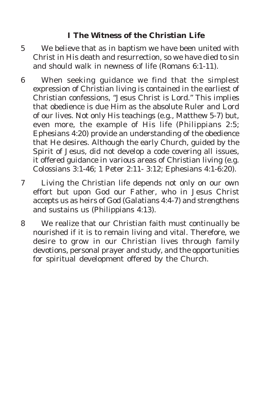# **I The Witness of the Christian Life**

- *5* We believe that as in baptism we have been united with Christ in His death and resurrection, so we have died to sin and should walk in newness of life (Romans 6:1-11).
- *6* When seeking guidance we find that the simplest expression of Christian living is contained in the earliest of Christian confessions, "Jesus Christ is Lord." This implies that obedience is due Him as the absolute Ruler and Lord of our lives. Not only His teachings (e.g., Matthew 5-7) but, even more, the example of His life (Philippians 2:5; Ephesians 4:20) provide an understanding of the obedience that He desires. Although the early Church, guided by the Spirit of Jesus, did not develop a code covering all issues, it offered guidance in various areas of Christian living (e.g. Colossians 3:1-46; 1 Peter 2:11- 3:12; Ephesians 4:1-6:20).
- *7* Living the Christian life depends not only on our own effort but upon God our Father, who in Jesus Christ accepts us as heirs of God (Galatians 4:4-7) and strengthens and sustains us (Philippians 4:13).
- *8* We realize that our Christian faith must continually be nourished if it is to remain living and vital. Therefore, we desire to grow in our Christian lives through family devotions, personal prayer and study, and the opportunities for spiritual development offered by the Church.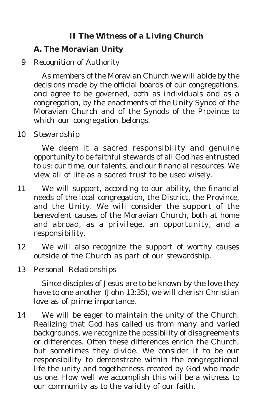# **II The Witness of a Living Church**

#### **A. The Moravian Unity**

### *9 Recognition of Authority*

As members of the Moravian Church we will abide by the decisions made by the official boards of our congregations, and agree to be governed, both as individuals and as a congregation, by the enactments of the Unity Synod of the Moravian Church and of the Synods of the Province to which our congregation belongs.

*10 Stewardship*

We deem it a sacred responsibility and genuine opportunity to be faithful stewards of all God has entrusted to us: our time, our talents, and our financial resources. We view all of life as a sacred trust to be used wisely.

- *11* We will support, according to our ability, the financial needs of the local congregation, the District, the Province, and the Unity. We will consider the support of the benevolent causes of the Moravian Church, both at home and abroad, as a privilege, an opportunity, and a responsibility.
- *12* We will also recognize the support of worthy causes outside of the Church as part of our stewardship.

*13 Personal Relationships*

Since disciples of Jesus are to be known by the love they have to one another (John 13:35), we will cherish Christian love as of prime importance.

*14* We will be eager to maintain the unity of the Church. Realizing that God has called us from many and varied backgrounds, we recognize the possibility of disagreements or differences. Often these differences enrich the Church, but sometimes they divide. We consider it to be our responsibility to demonstrate within the congregational life the unity and togetherness created by God who made us one. How well we accomplish this will be a witness to our community as to the validity of our faith.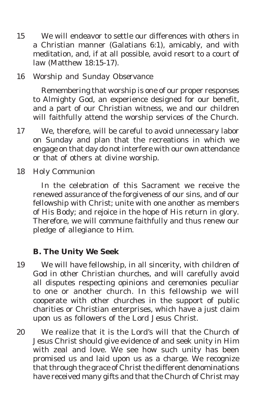*15* We will endeavor to settle our differences with others in a Christian manner (Galatians 6:1), amicably, and with meditation, and, if at all possible, avoid resort to a court of law (Matthew 18:15-17).

#### *16 Worship and Sunday Observance*

Remembering that worship is one of our proper responses to Almighty God, an experience designed for our benefit, and a part of our Christian witness, we and our children will faithfully attend the worship services of the Church.

*17* We, therefore, will be careful to avoid unnecessary labor on Sunday and plan that the recreations in which we engage on that day do not interfere with our own attendance or that of others at divine worship.

*18 Holy Communion*

In the celebration of this Sacrament we receive the renewed assurance of the forgiveness of our sins, and of our fellowship with Christ; unite with one another as members of His Body; and rejoice in the hope of His return in glory. Therefore, we will commune faithfully and thus renew our pledge of allegiance to Him.

#### **B. The Unity We Seek**

- *19* We will have fellowship, in all sincerity, with children of God in other Christian churches, and will carefully avoid all disputes respecting opinions and ceremonies peculiar to one or another church. In this fellowship we will cooperate with other churches in the support of public charities or Christian enterprises, which have a just claim upon us as followers of the Lord Jesus Christ.
- *20* We realize that it is the Lord's will that the Church of Jesus Christ should give evidence of and seek unity in Him with zeal and love. We see how such unity has been promised us and laid upon us as a charge. We recognize that through the grace of Christ the different denominations have received many gifts and that the Church of Christ may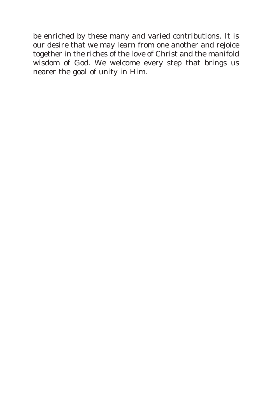be enriched by these many and varied contributions. It is our desire that we may learn from one another and rejoice together in the riches of the love of Christ and the manifold wisdom of God. We welcome every step that brings us nearer the goal of unity in Him.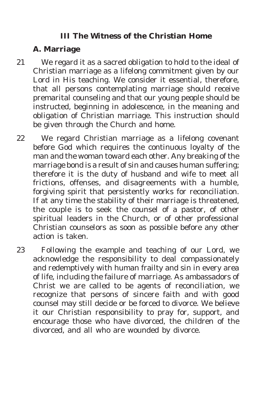#### **III The Witness of the Christian Home**

# **A. Marriage**

- *21* We regard it as a sacred obligation to hold to the ideal of Christian marriage as a lifelong commitment given by our Lord in His teaching. We consider it essential, therefore, that all persons contemplating marriage should receive premarital counseling and that our young people should be instructed, beginning in adolescence, in the meaning and obligation of Christian marriage. This instruction should be given through the Church and home.
- *22* We regard Christian marriage as a lifelong covenant before God which requires the continuous loyalty of the man and the woman toward each other. Any breaking of the marriage bond is a result of sin and causes human suffering; therefore it is the duty of husband and wife to meet all frictions, offenses, and disagreements with a humble, forgiving spirit that persistently works for reconciliation. If at any time the stability of their marriage is threatened, the couple is to seek the counsel of a pastor, of other spiritual leaders in the Church, or of other professional Christian counselors as soon as possible before any other action is taken.
- *23* Following the example and teaching of our Lord, we acknowledge the responsibility to deal compassionately and redemptively with human frailty and sin in every area of life, including the failure of marriage. As ambassadors of Christ we are called to be agents of reconciliation, we recognize that persons of sincere faith and with good counsel may still decide or be forced to divorce. We believe it our Christian responsibility to pray for, support, and encourage those who have divorced, the children of the divorced, and all who are wounded by divorce.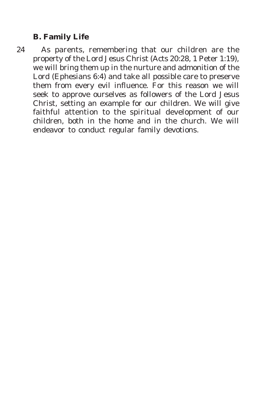### **B. Family Life**

*24* As parents, remembering that our children are the property of the Lord Jesus Christ (Acts 20:28, 1 Peter 1:19), we will bring them up in the nurture and admonition of the Lord (Ephesians 6:4) and take all possible care to preserve them from every evil influence. For this reason we will seek to approve ourselves as followers of the Lord Jesus Christ, setting an example for our children. We will give faithful attention to the spiritual development of our children, both in the home and in the church. We will endeavor to conduct regular family devotions.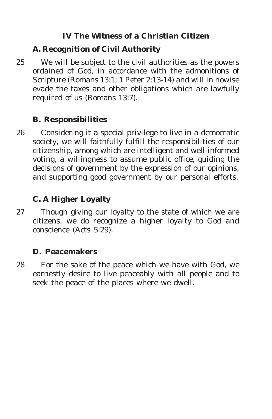# **IV The Witness of a Christian Citizen**

### **A. Recognition of Civil Authority**

*25* We will be subject to the civil authorities as the powers ordained of God, in accordance with the admonitions of Scripture (Romans 13:1; 1 Peter 2:13-14) and will in nowise evade the taxes and other obligations which are lawfully required of us (Romans 13:7).

# **B. Responsibilities**

*26* Considering it a special privilege to live in a democratic society, we will faithfully fulfill the responsibilities of our citizenship, among which are intelligent and well-informed voting, a willingness to assume public office, guiding the decisions of government by the expression of our opinions, and supporting good government by our personal efforts.

# **C. A Higher Loyalty**

*27* Though giving our loyalty to the state of which we are citizens, we do recognize a higher loyalty to God and conscience (Acts 5:29).

#### **D. Peacemakers**

*28* For the sake of the peace which we have with God, we earnestly desire to live peaceably with all people and to seek the peace of the places where we dwell.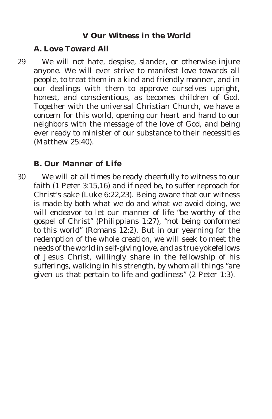#### **V Our Witness in the World**

#### **A. Love Toward All**

*29* We will not hate, despise, slander, or otherwise injure anyone. We will ever strive to manifest love towards all people, to treat them in a kind and friendly manner, and in our dealings with them to approve ourselves upright, honest, and conscientious, as becomes children of God. Together with the universal Christian Church, we have a concern for this world, opening our heart and hand to our neighbors with the message of the love of God, and being ever ready to minister of our substance to their necessities (Matthew 25:40).

#### **B. Our Manner of Life**

*30* We will at all times be ready cheerfully to witness to our faith (1 Peter 3:15,16) and if need be, to suffer reproach for Christ's sake (Luke 6:22,23). Being aware that our witness is made by both what we do and what we avoid doing, we will endeavor to let our manner of life "be worthy of the gospel of Christ" (Philippians 1:27), "not being conformed to this world" (Romans 12:2). But in our yearning for the redemption of the whole creation, we will seek to meet the needs of the world in self-giving love, and as true yokefellows of Jesus Christ, willingly share in the fellowship of his sufferings, walking in his strength, by whom all things "are given us that pertain to life and godliness" (2 Peter 1:3).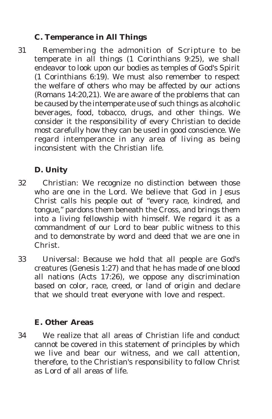# **C. Temperance in All Things**

*31* Remembering the admonition of Scripture to be temperate in all things (1 Corinthians 9:25), we shall endeavor to look upon our bodies as temples of God's Spirit (1 Corinthians 6:19). We must also remember to respect the welfare of others who may be affected by our actions (Romans 14:20,21). We are aware of the problems that can be caused by the intemperate use of such things as alcoholic beverages, food, tobacco, drugs, and other things. We consider it the responsibility of every Christian to decide most carefully how they can be used in good conscience. We regard intemperance in any area of living as being inconsistent with the Christian life.

# **D. Unity**

- *32* Christian: We recognize no distinction between those who are one in the Lord. We believe that God in Jesus Christ calls his people out of "every race, kindred, and tongue," pardons them beneath the Cross, and brings them into a living fellowship with himself. We regard it as a commandment of our Lord to bear public witness to this and to demonstrate by word and deed that we are one in Christ.
- *33* Universal: Because we hold that all people are God's creatures (Genesis 1:27) and that he has made of one blood all nations (Acts 17:26), we oppose any discrimination based on color, race, creed, or land of origin and declare that we should treat everyone with love and respect.

# **E. Other Areas**

*34* We realize that all areas of Christian life and conduct cannot be covered in this statement of principles by which we live and bear our witness, and we call attention, therefore, to the Christian's responsibility to follow Christ as Lord of all areas of life.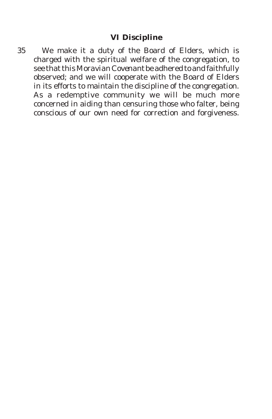*35* We make it a duty of the Board of Elders, which is charged with the spiritual welfare of the congregation, to see that this *Moravian Covenant* be adhered to and faithfully observed; and we will cooperate with the Board of Elders in its efforts to maintain the discipline of the congregation. As a redemptive community we will be much more concerned in aiding than censuring those who falter, being conscious of our own need for correction and forgiveness.